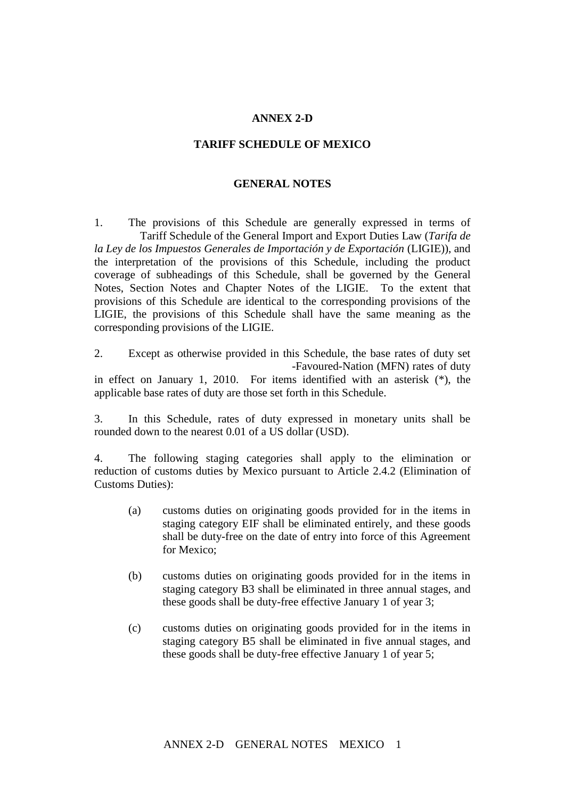## **ANNEX 2-D**

## **TARIFF SCHEDULE OF MEXICO**

## **GENERAL NOTES**

1. The provisions of this Schedule are generally expressed in terms of Tariff Schedule of the General Import and Export Duties Law (*Tarifa de la Ley de los Impuestos Generales de Importación y de Exportación* (LIGIE)), and the interpretation of the provisions of this Schedule, including the product coverage of subheadings of this Schedule, shall be governed by the General Notes, Section Notes and Chapter Notes of the LIGIE. To the extent that provisions of this Schedule are identical to the corresponding provisions of the LIGIE, the provisions of this Schedule shall have the same meaning as the corresponding provisions of the LIGIE.

2. Except as otherwise provided in this Schedule, the base rates of duty set -Favoured-Nation (MFN) rates of duty in effect on January 1, 2010. For items identified with an asterisk (\*), the applicable base rates of duty are those set forth in this Schedule.

3. In this Schedule, rates of duty expressed in monetary units shall be rounded down to the nearest 0.01 of a US dollar (USD).

4. The following staging categories shall apply to the elimination or reduction of customs duties by Mexico pursuant to Article 2.4.2 (Elimination of Customs Duties):

- (a) customs duties on originating goods provided for in the items in staging category EIF shall be eliminated entirely, and these goods shall be duty-free on the date of entry into force of this Agreement for Mexico;
- (b) customs duties on originating goods provided for in the items in staging category B3 shall be eliminated in three annual stages, and these goods shall be duty-free effective January 1 of year 3;
- (c) customs duties on originating goods provided for in the items in staging category B5 shall be eliminated in five annual stages, and these goods shall be duty-free effective January 1 of year 5;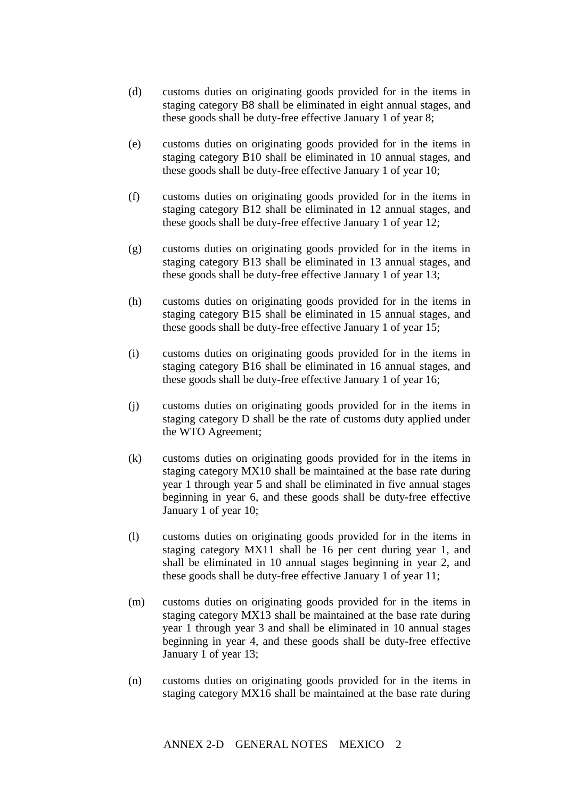- (d) customs duties on originating goods provided for in the items in staging category B8 shall be eliminated in eight annual stages, and these goods shall be duty-free effective January 1 of year 8;
- (e) customs duties on originating goods provided for in the items in staging category B10 shall be eliminated in 10 annual stages, and these goods shall be duty-free effective January 1 of year 10;
- (f) customs duties on originating goods provided for in the items in staging category B12 shall be eliminated in 12 annual stages, and these goods shall be duty-free effective January 1 of year 12;
- (g) customs duties on originating goods provided for in the items in staging category B13 shall be eliminated in 13 annual stages, and these goods shall be duty-free effective January 1 of year 13;
- (h) customs duties on originating goods provided for in the items in staging category B15 shall be eliminated in 15 annual stages, and these goods shall be duty-free effective January 1 of year 15;
- (i) customs duties on originating goods provided for in the items in staging category B16 shall be eliminated in 16 annual stages, and these goods shall be duty-free effective January 1 of year 16;
- (j) customs duties on originating goods provided for in the items in staging category D shall be the rate of customs duty applied under the WTO Agreement;
- (k) customs duties on originating goods provided for in the items in staging category MX10 shall be maintained at the base rate during year 1 through year 5 and shall be eliminated in five annual stages beginning in year 6, and these goods shall be duty-free effective January 1 of year 10;
- (l) customs duties on originating goods provided for in the items in staging category MX11 shall be 16 per cent during year 1, and shall be eliminated in 10 annual stages beginning in year 2, and these goods shall be duty-free effective January 1 of year 11;
- (m) customs duties on originating goods provided for in the items in staging category MX13 shall be maintained at the base rate during year 1 through year 3 and shall be eliminated in 10 annual stages beginning in year 4, and these goods shall be duty-free effective January 1 of year 13;
- (n) customs duties on originating goods provided for in the items in staging category MX16 shall be maintained at the base rate during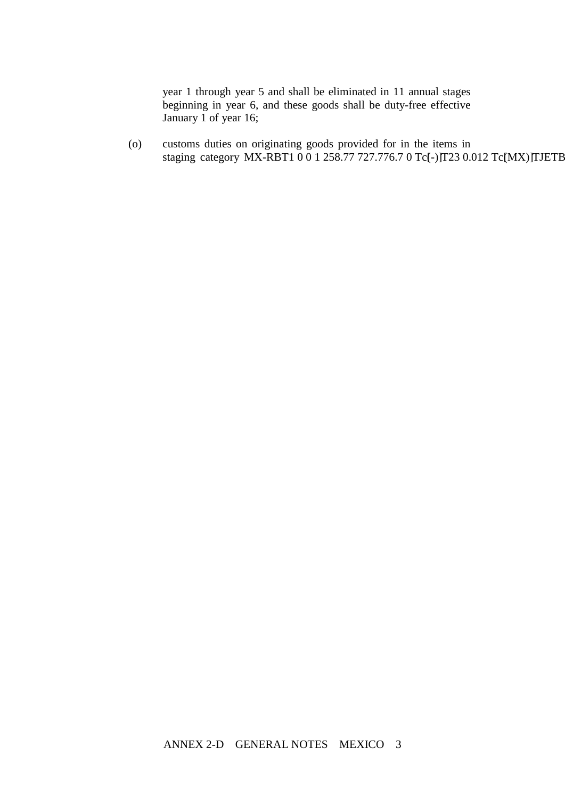year 1 through year 5 and shall be eliminated in 11 annual stages beginning in year 6, and these goods shall be duty-free effective January 1 of year 16;

customs duties on originating goods provided for in the items in  $(0)$ staging category MX-RBT1 0 0 1 258.77 727.776.7 0 Tc[-)JT23 0.012 Tc[MX)JTJETB

ANNEX 2-D GENERAL NOTES MEXICO 3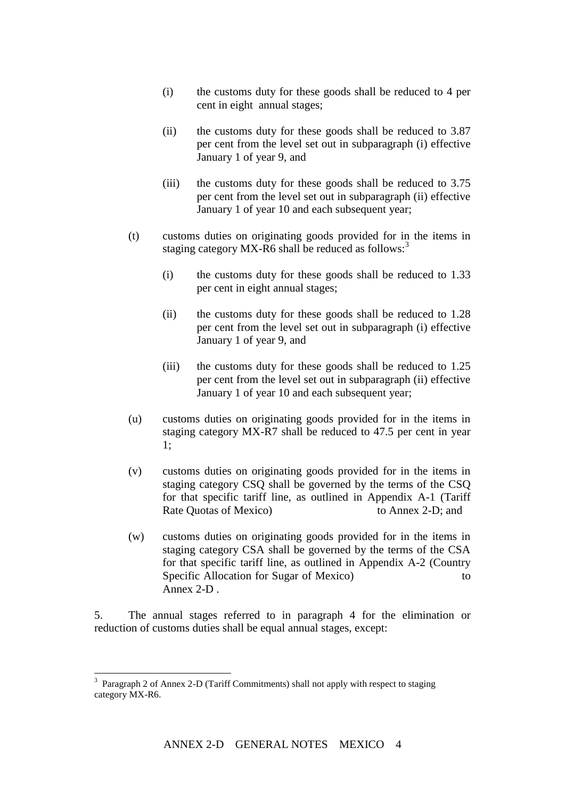- (i) the customs duty for these goods shall be reduced to 4 per cent in eight annual stages;
- (ii) the customs duty for these goods shall be reduced to 3.87 per cent from the level set out in subparagraph (i) effective January 1 of year 9, and
- (iii) the customs duty for these goods shall be reduced to 3.75 per cent from the level set out in subparagraph (ii) effective January 1 of year 10 and each subsequent year;
- (t) customs duties on originating goods provided for in the items in staging category MX-R6 shall be reduced as follows:<sup>3</sup>
	- (i) the customs duty for these goods shall be reduced to 1.33 per cent in eight annual stages;
	- (ii) the customs duty for these goods shall be reduced to 1.28 per cent from the level set out in subparagraph (i) effective January 1 of year 9, and
	- (iii) the customs duty for these goods shall be reduced to 1.25 per cent from the level set out in subparagraph (ii) effective January 1 of year 10 and each subsequent year;
- (u) customs duties on originating goods provided for in the items in staging category MX-R7 shall be reduced to 47.5 per cent in year 1;
- (v) customs duties on originating goods provided for in the items in staging category CSQ shall be governed by the terms of the CSQ for that specific tariff line, as outlined in Appendix A-1 (Tariff Rate Quotas of Mexico) to Annex 2-D; and
- (w) customs duties on originating goods provided for in the items in staging category CSA shall be governed by the terms of the CSA for that specific tariff line, as outlined in Appendix A-2 (Country Specific Allocation for Sugar of Mexico) to to Annex 2-D .

5. The annual stages referred to in paragraph 4 for the elimination or reduction of customs duties shall be equal annual stages, except:

1

<sup>&</sup>lt;sup>3</sup> Paragraph 2 of Annex 2-D (Tariff Commitments) shall not apply with respect to staging category MX-R6.